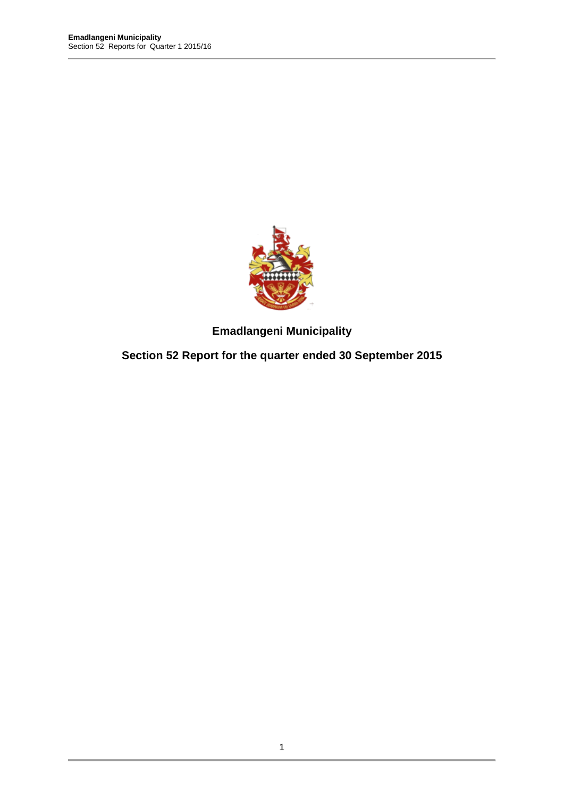

**Emadlangeni Municipality** 

**Section 52 Report for the quarter ended 30 September 2015**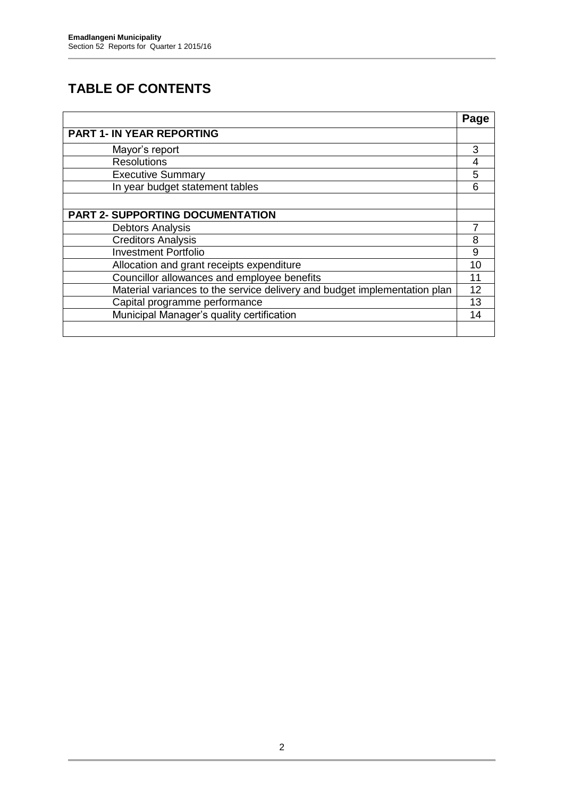## **TABLE OF CONTENTS**

|                                                                           | Page |
|---------------------------------------------------------------------------|------|
| <b>PART 1- IN YEAR REPORTING</b>                                          |      |
| Mayor's report                                                            | 3    |
| <b>Resolutions</b>                                                        | 4    |
| <b>Executive Summary</b>                                                  | 5    |
| In year budget statement tables                                           | 6    |
|                                                                           |      |
| <b>PART 2- SUPPORTING DOCUMENTATION</b>                                   |      |
| <b>Debtors Analysis</b>                                                   |      |
| <b>Creditors Analysis</b>                                                 | 8    |
| <b>Investment Portfolio</b>                                               | 9    |
| Allocation and grant receipts expenditure                                 | 10   |
| Councillor allowances and employee benefits                               |      |
| Material variances to the service delivery and budget implementation plan | 12   |
| Capital programme performance                                             | 13   |
| Municipal Manager's quality certification                                 | 14   |
|                                                                           |      |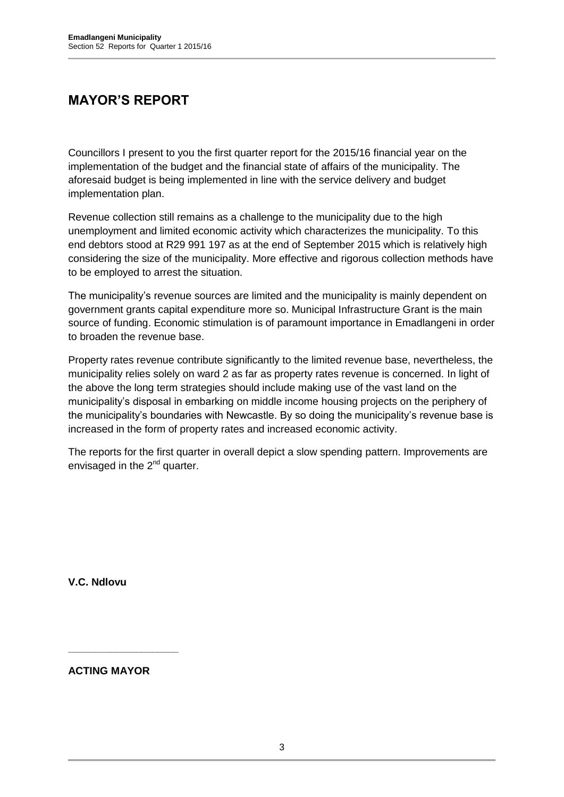## **MAYOR'S REPORT**

Councillors I present to you the first quarter report for the 2015/16 financial year on the implementation of the budget and the financial state of affairs of the municipality. The aforesaid budget is being implemented in line with the service delivery and budget implementation plan.

Revenue collection still remains as a challenge to the municipality due to the high unemployment and limited economic activity which characterizes the municipality. To this end debtors stood at R29 991 197 as at the end of September 2015 which is relatively high considering the size of the municipality. More effective and rigorous collection methods have to be employed to arrest the situation.

The municipality's revenue sources are limited and the municipality is mainly dependent on government grants capital expenditure more so. Municipal Infrastructure Grant is the main source of funding. Economic stimulation is of paramount importance in Emadlangeni in order to broaden the revenue base.

Property rates revenue contribute significantly to the limited revenue base, nevertheless, the municipality relies solely on ward 2 as far as property rates revenue is concerned. In light of the above the long term strategies should include making use of the vast land on the municipality's disposal in embarking on middle income housing projects on the periphery of the municipality's boundaries with Newcastle. By so doing the municipality's revenue base is increased in the form of property rates and increased economic activity.

The reports for the first quarter in overall depict a slow spending pattern. Improvements are envisaged in the  $2<sup>nd</sup>$  quarter.

**V.C. Ndlovu**

**ACTING MAYOR**

**\_\_\_\_\_\_\_\_\_\_\_\_\_\_\_\_\_\_\_\_\_**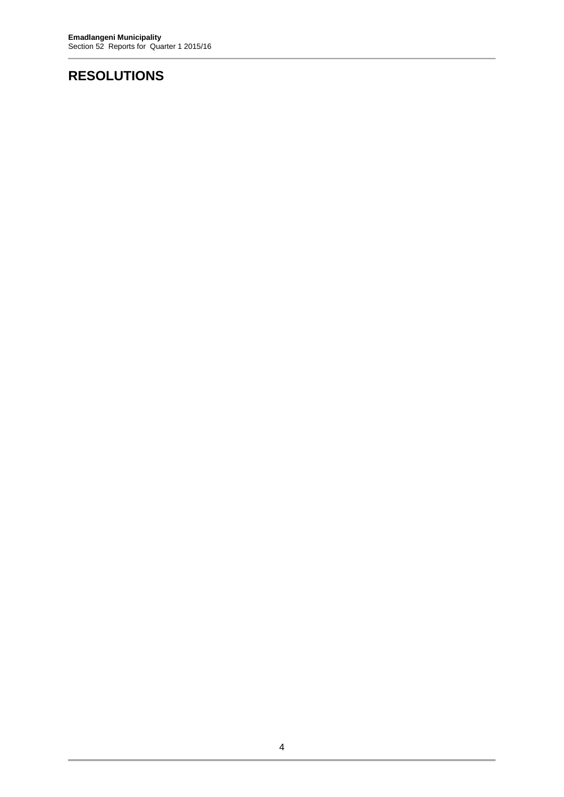# **RESOLUTIONS**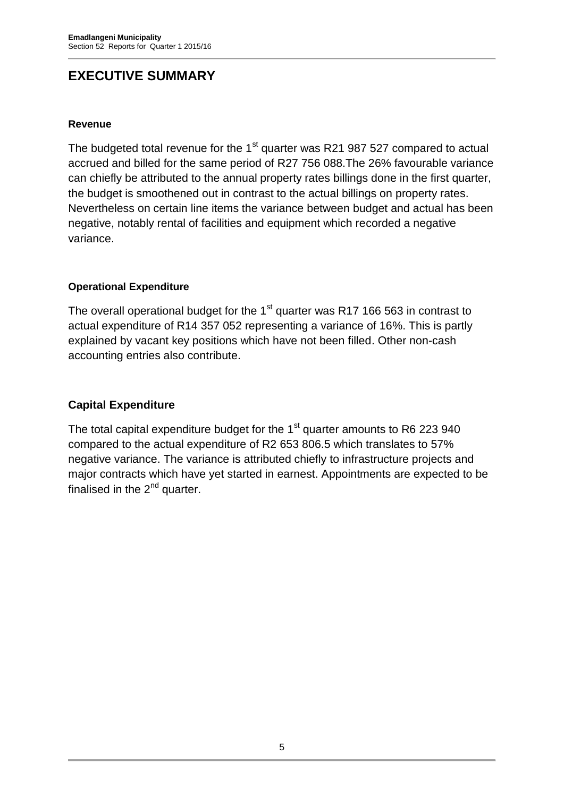## **EXECUTIVE SUMMARY**

#### **Revenue**

The budgeted total revenue for the  $1<sup>st</sup>$  quarter was R21 987 527 compared to actual accrued and billed for the same period of R27 756 088.The 26% favourable variance can chiefly be attributed to the annual property rates billings done in the first quarter, the budget is smoothened out in contrast to the actual billings on property rates. Nevertheless on certain line items the variance between budget and actual has been negative, notably rental of facilities and equipment which recorded a negative variance.

#### **Operational Expenditure**

The overall operational budget for the 1<sup>st</sup> quarter was R17 166 563 in contrast to actual expenditure of R14 357 052 representing a variance of 16%. This is partly explained by vacant key positions which have not been filled. Other non-cash accounting entries also contribute.

#### **Capital Expenditure**

The total capital expenditure budget for the  $1<sup>st</sup>$  quarter amounts to R6 223 940 compared to the actual expenditure of R2 653 806.5 which translates to 57% negative variance. The variance is attributed chiefly to infrastructure projects and major contracts which have yet started in earnest. Appointments are expected to be finalised in the  $2<sup>nd</sup>$  quarter.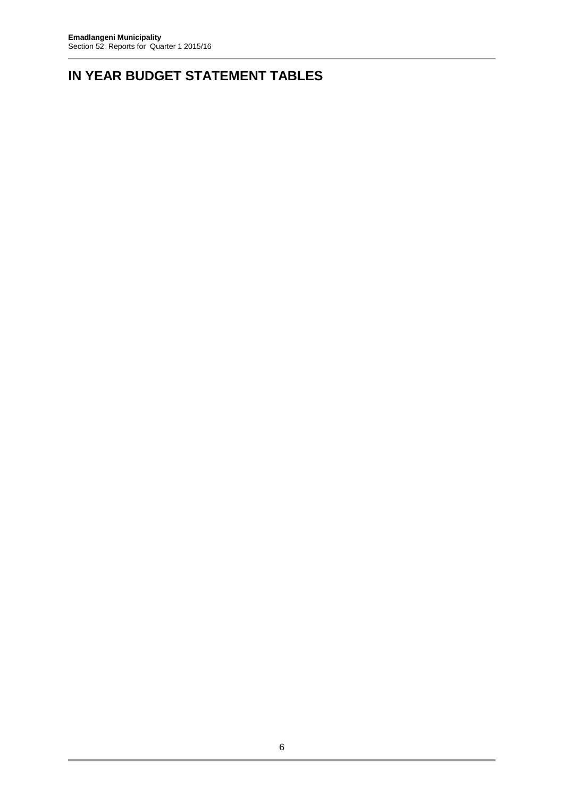# **IN YEAR BUDGET STATEMENT TABLES**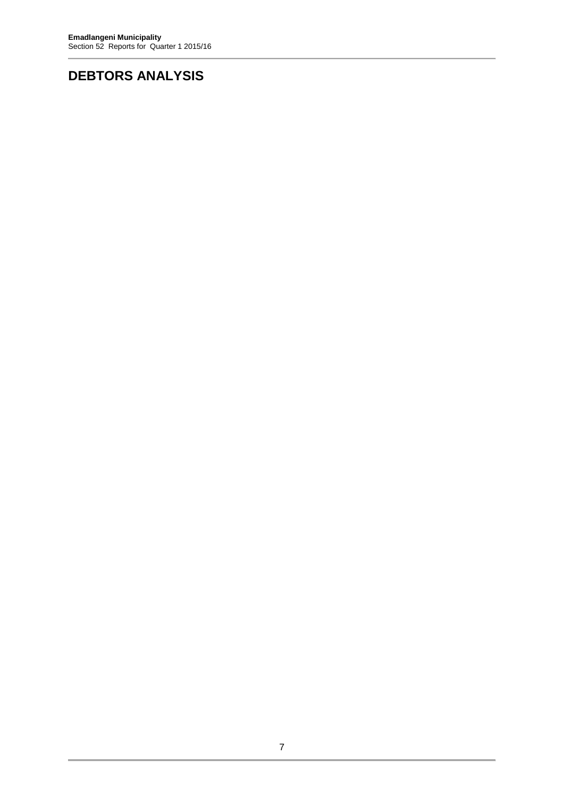## **DEBTORS ANALYSIS**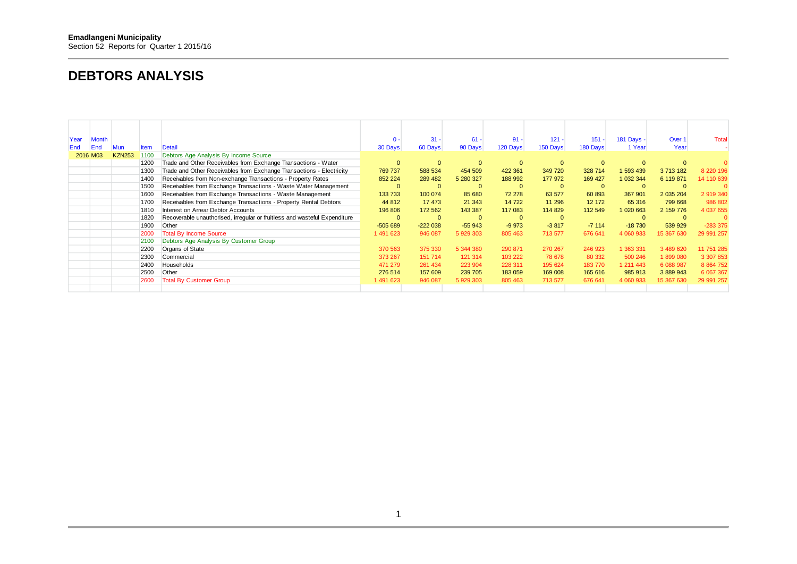#### **DEBTORS ANALYSIS**

| Year | <b>Month</b> |               |      |                                                                           | $0 -$        | $31 -$       | $61 -$       | $91 -$       | $121 -$  | $151 -$      | 181 Days - | Over 1       | <b>Total</b> |
|------|--------------|---------------|------|---------------------------------------------------------------------------|--------------|--------------|--------------|--------------|----------|--------------|------------|--------------|--------------|
| End  | End          | Mun           | ltem | Detail                                                                    | 30 Days      | 60 Days      | 90 Days      | 120 Days     | 150 Days | 180 Days     | 1 Year     | Year         |              |
|      | 2016 M03     | <b>KZN253</b> | 1100 | Debtors Age Analysis By Income Source                                     |              |              |              |              |          |              |            |              |              |
|      |              |               | 1200 | Trade and Other Receivables from Exchange Transactions - Water            | $\Omega$     | $\mathbf{0}$ | $\mathbf{0}$ | $\Omega$     |          | $\Omega$     |            |              |              |
|      |              |               | 1300 | Trade and Other Receivables from Exchange Transactions - Electricity      | 769 737      | 588 534      | 454 509      | 422 361      | 349 720  | 328 714      | 593 439    | 3 713 182    | 8 2 2 19 6   |
|      |              |               | 1400 | Receivables from Non-exchange Transactions - Property Rates               | 852 224      | 289 482      | 5 280 327    | 188 992      | 177 972  | 169 427      | 1 032 344  | 6 119 871    | 14 110 639   |
|      |              |               | 1500 | Receivables from Exchange Transactions - Waste Water Management           | $\Omega$     | $\mathbf{0}$ | $\mathbf{0}$ | $\Omega$     |          | $\mathbf{0}$ |            |              |              |
|      |              |               | 1600 | Receivables from Exchange Transactions - Waste Management                 | 133 733      | 100 074      | 85 680       | 72 278       | 63 577   | 60 893       | 367 901    | 2 0 35 204   | 2 919 340    |
|      |              |               | 1700 | Receivables from Exchange Transactions - Property Rental Debtors          | 44 812       | 17 473       | 21 343       | 14 722       | 11 29 6  | 12 172       | 65 316     | 799 668      | 986 802      |
|      |              |               | 1810 | Interest on Arrear Debtor Accounts                                        | 196 806      | 172 562      | 143 387      | 117 083      | 114 829  | 112 549      | 1 020 663  | 2 159 776    | 4 037 655    |
|      |              |               | 1820 | Recoverable unauthorised, irregular or fruitless and wasteful Expenditure | $\mathbf{0}$ | $\mathbf{0}$ | $\mathbf{0}$ | $\mathbf{0}$ |          |              |            | $\mathbf{0}$ |              |
|      |              |               | 1900 | Other                                                                     | $-505689$    | $-222038$    | $-55943$     | $-9973$      | $-3817$  | $-7114$      | $-18730$   | 539 929      | $-283375$    |
|      |              |               | 2000 | <b>Total By Income Source</b>                                             | 1491623      | 946 087      | 5 929 303    | 805 463      | 713 577  | 676 641      | 4 060 933  | 15 367 630   | 29 991 257   |
|      |              |               | 2100 | Debtors Age Analysis By Customer Group                                    |              |              |              |              |          |              |            |              |              |
|      |              |               | 2200 | Organs of State                                                           | 370 563      | 375 330      | 5 344 380    | 290 871      | 270 267  | 246 923      | 1 363 331  | 3 489 620    | 11 751 285   |
|      |              |               | 2300 | Commercial                                                                | 373 267      | 151 714      | 121 314      | 103 222      | 78 678   | 80 332       | 500 246    | 1899080      | 3 307 853    |
|      |              |               | 2400 | Households                                                                | 471 279      | 261 434      | 223 904      | 228 311      | 195 624  | 183770       | 1 211 443  | 6 088 987    | 8 8 64 7 52  |
|      |              |               | 2500 | Other                                                                     | 276 514      | 157 609      | 239 705      | 183 059      | 169 008  | 165 616      | 985 913    | 3 889 943    | 6 067 367    |
|      |              |               | 2600 | <b>Total By Customer Group</b>                                            | 1 491 623    | 946 087      | 5 929 303    | 805 463      | 713 577  | 676 641      | 4 060 933  | 15 367 630   | 29 991 257   |
|      |              |               |      |                                                                           |              |              |              |              |          |              |            |              |              |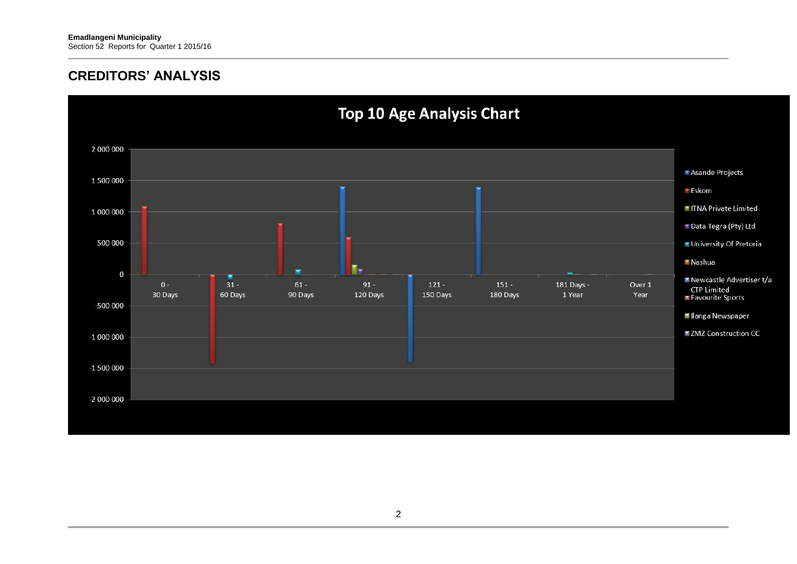#### **CREDITORS' ANALYSIS**

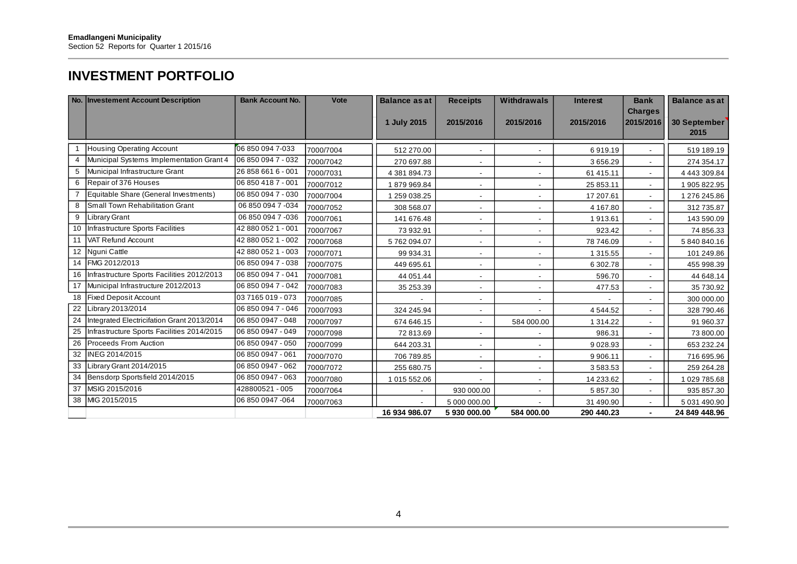## **INVESTMENT PORTFOLIO**

|    | No. Investement Account Description           | <b>Bank Account No.</b> | Vote      | <b>Balance as at</b> | <b>Receipts</b>          | Withdrawals              | <b>Interest</b> | <b>Bank</b><br><b>Charges</b> | <b>Balance as at</b> |
|----|-----------------------------------------------|-------------------------|-----------|----------------------|--------------------------|--------------------------|-----------------|-------------------------------|----------------------|
|    |                                               |                         |           | 1 July 2015          | 2015/2016                | 2015/2016                | 2015/2016       | 2015/2016                     | 30 September<br>2015 |
|    |                                               |                         |           |                      |                          |                          |                 |                               |                      |
|    | <b>Housing Operating Account</b>              | 06 850 094 7-033        | 7000/7004 | 512 270.00           | $\overline{\phantom{a}}$ |                          | 6919.19         |                               | 519 189.19           |
|    | Municipal Systems Implementation Grant 4      | 06 850 094 7 - 032      | 7000/7042 | 270 697.88           |                          |                          | 3656.29         |                               | 274 354.17           |
| 5  | Municipal Infrastructure Grant                | 26 858 661 6 - 001      | 7000/7031 | 4 381 894.73         |                          |                          | 61 415.11       |                               | 4 443 309.84         |
| 6  | Repair of 376 Houses                          | 06 850 418 7 - 001      | 7000/7012 | 1879969.84           | $\overline{\phantom{a}}$ | $\overline{\phantom{a}}$ | 25 853.11       | $\sim$                        | 1 905 822.95         |
|    | 7 Equitable Share (General Investments)       | 06 850 094 7 - 030      | 7000/7004 | 1259038.25           | ٠                        |                          | 17 207.61       | $\sim$                        | 1 276 245.86         |
| 8  | Small Town Rehabilitation Grant               | 06 850 094 7 -034       | 7000/7052 | 308 568.07           |                          |                          | 4 167.80        |                               | 312 735.87           |
| 9  | <b>Library Grant</b>                          | 06 850 094 7 -036       | 7000/7061 | 141 676.48           |                          |                          | 1913.61         |                               | 143 590.09           |
|    | 10 Infrastructure Sports Facilities           | 42 880 052 1 - 001      | 7000/7067 | 73 932.91            | $\overline{\phantom{a}}$ |                          | 923.42          |                               | 74 856.33            |
| 11 | VAT Refund Account                            | 42 880 052 1 - 002      | 7000/7068 | 5762094.07           |                          |                          | 78 746.09       |                               | 5 840 840.16         |
|    | 12 Nguni Cattle                               | 42 880 052 1 - 003      | 7000/7071 | 99 934.31            |                          |                          | 1 3 1 5 . 5 5   |                               | 101 249.86           |
|    | 14 FMG 2012/2013                              | 06 850 094 7 - 038      | 7000/7075 | 449 695.61           |                          |                          | 6 302.78        |                               | 455 998.39           |
|    | 16 Infrastructure Sports Facilities 2012/2013 | 06 850 094 7 - 041      | 7000/7081 | 44 051.44            | $\blacksquare$           | $\overline{\phantom{a}}$ | 596.70          |                               | 44 648.14            |
|    | 17 Municipal Infrastructure 2012/2013         | 06 850 094 7 - 042      | 7000/7083 | 35 253.39            |                          |                          | 477.53          |                               | 35 730.92            |
|    | 18 Fixed Deposit Account                      | 037165019-073           | 7000/7085 |                      |                          |                          |                 |                               | 300 000.00           |
|    | 22 Library 2013/2014                          | 06 850 094 7 - 046      | 7000/7093 | 324 245.94           |                          |                          | 4544.52         |                               | 328 790.46           |
| 24 | Integrated Electricifation Grant 2013/2014    | 06 850 0947 - 048       | 7000/7097 | 674 646.15           | $\blacksquare$           | 584 000.00               | 1 3 1 4 . 2 2   | $\overline{\phantom{a}}$      | 91 960.37            |
| 25 | Infrastructure Sports Facilities 2014/2015    | 06 850 0947 - 049       | 7000/7098 | 72 813.69            |                          |                          | 986.31          |                               | 73 800.00            |
| 26 | <b>Proceeds From Auction</b>                  | 06 850 0947 - 050       | 7000/7099 | 644 203.31           |                          |                          | 9 0 28.93       |                               | 653 232.24           |
|    | 32 INEG 2014/2015                             | 06 850 0947 - 061       | 7000/7070 | 706 789.85           | $\overline{\phantom{a}}$ |                          | 9 9 0 6.11      |                               | 716 695.96           |
|    | 33 Library Grant 2014/2015                    | 06 850 0947 - 062       | 7000/7072 | 255 680.75           | $\blacksquare$           |                          | 3583.53         |                               | 259 264.28           |
| 34 | Bensdorp Sportsfield 2014/2015                | 06 850 0947 - 063       | 7000/7080 | 1 015 552.06         |                          |                          | 14 233.62       |                               | 1029 785.68          |
| 37 | MSIG 2015/2016                                | 428800521 - 005         | 7000/7064 |                      | 930 000.00               |                          | 5 857.30        |                               | 935 857.30           |
|    | 38 MIG 2015/2015                              | 06 850 0947 -064        | 7000/7063 |                      | 5 000 000.00             |                          | 31 490.90       |                               | 5 031 490.90         |
|    |                                               |                         |           | 16 934 986.07        | 5 930 000.00             | 584 000.00               | 290 440.23      | $\blacksquare$                | 24 849 448.96        |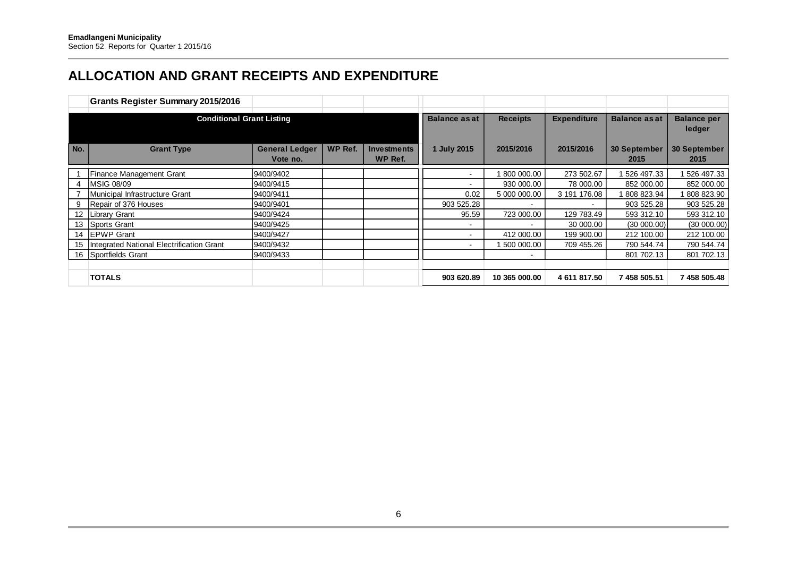## **ALLOCATION AND GRANT RECEIPTS AND EXPENDITURE**

|                   | <b>Grants Register Summary 2015/2016</b>  |                                   |         |                               |                      |                 |                    |                             |                              |
|-------------------|-------------------------------------------|-----------------------------------|---------|-------------------------------|----------------------|-----------------|--------------------|-----------------------------|------------------------------|
|                   | <b>Conditional Grant Listing</b>          |                                   |         |                               | <b>Balance as at</b> | <b>Receipts</b> | <b>Expenditure</b> | <b>Balance as at</b>        | <b>Balance per</b><br>ledger |
| No.               | <b>Grant Type</b>                         | <b>General Ledger</b><br>Vote no. | WP Ref. | <b>Investments</b><br>WP Ref. | 1 July 2015          | 2015/2016       | 2015/2016          | <b>30 September</b><br>2015 | 30 September<br>2015         |
|                   | Finance Management Grant                  | 9400/9402                         |         |                               |                      | 800 000.00      | 273 502.67         | 526 497.33                  | 526 497.33                   |
|                   | <b>MSIG 08/09</b>                         | 9400/9415                         |         |                               |                      | 930 000.00      | 78 000.00          | 852 000.00                  | 852 000.00                   |
|                   | Municipal Infrastructure Grant            | 9400/9411                         |         |                               | 0.02                 | 5 000 000.00    | 3 191 176.08       | 808 823.94                  | 808 823.90                   |
|                   | Repair of 376 Houses                      | 9400/9401                         |         |                               | 903 525.28           |                 |                    | 903 525.28                  | 903 525.28                   |
| $12 \overline{ }$ | <b>Library Grant</b>                      | 9400/9424                         |         |                               | 95.59                | 723 000.00      | 129 783.49         | 593 312.10                  | 593 312.10                   |
| 13                | Sports Grant                              | 9400/9425                         |         |                               |                      | -               | 30 000.00          | (30 000.00)                 | (30 000.00)                  |
| 14                | <b>IEPWP Grant</b>                        | 9400/9427                         |         |                               |                      | 412 000.00      | 199 900.00         | 212 100.00                  | 212 100.00                   |
| 15                | Integrated National Electrification Grant | 9400/9432                         |         |                               |                      | 500 000.00      | 709 455.26         | 790 544.74                  | 790 544.74                   |
| 16                | Sportfields Grant                         | 9400/9433                         |         |                               |                      | $\blacksquare$  |                    | 801 702.13                  | 801 702.13                   |
|                   |                                           |                                   |         |                               |                      |                 |                    |                             |                              |
|                   | <b>TOTALS</b>                             |                                   |         |                               | 903 620.89           | 10 365 000.00   | 4 611 817.50       | 7 458 505.51                | 7 458 505.48                 |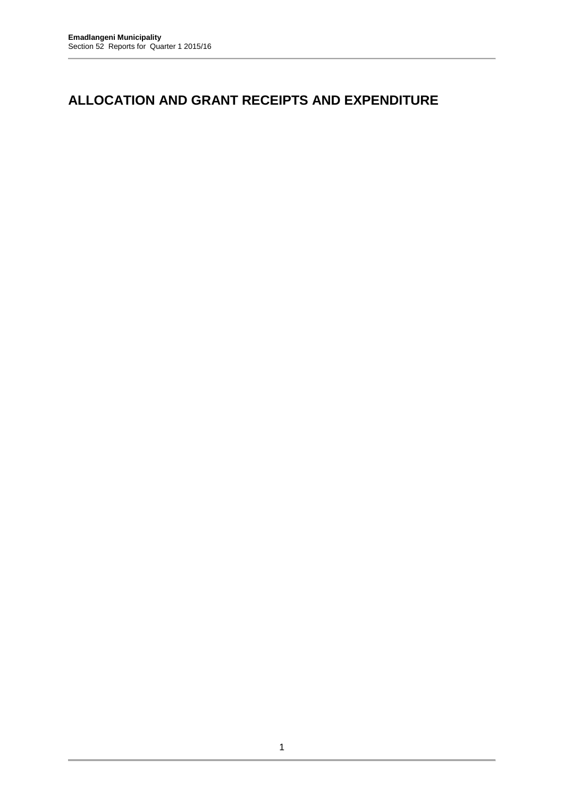### **ALLOCATION AND GRANT RECEIPTS AND EXPENDITURE**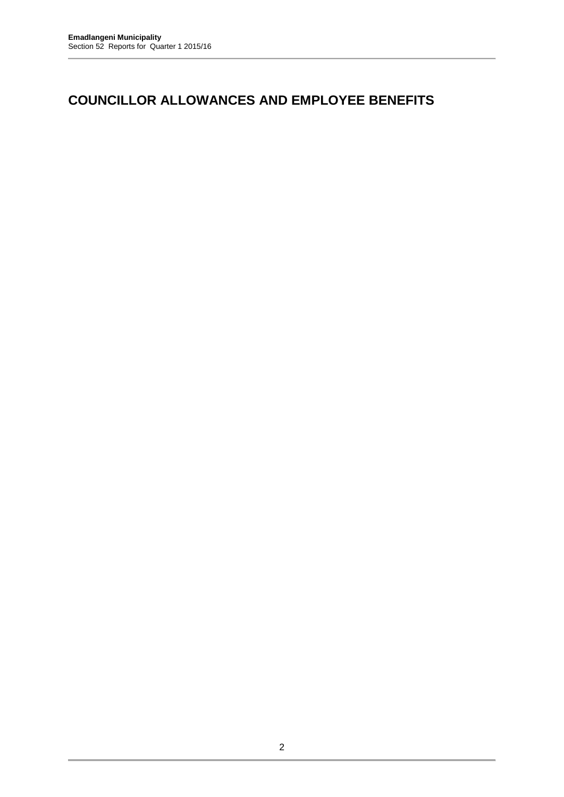### **COUNCILLOR ALLOWANCES AND EMPLOYEE BENEFITS**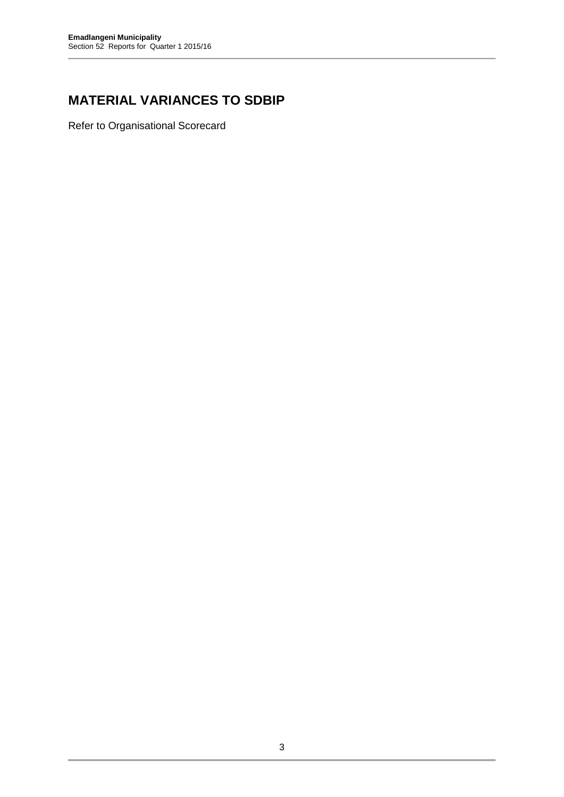## **MATERIAL VARIANCES TO SDBIP**

Refer to Organisational Scorecard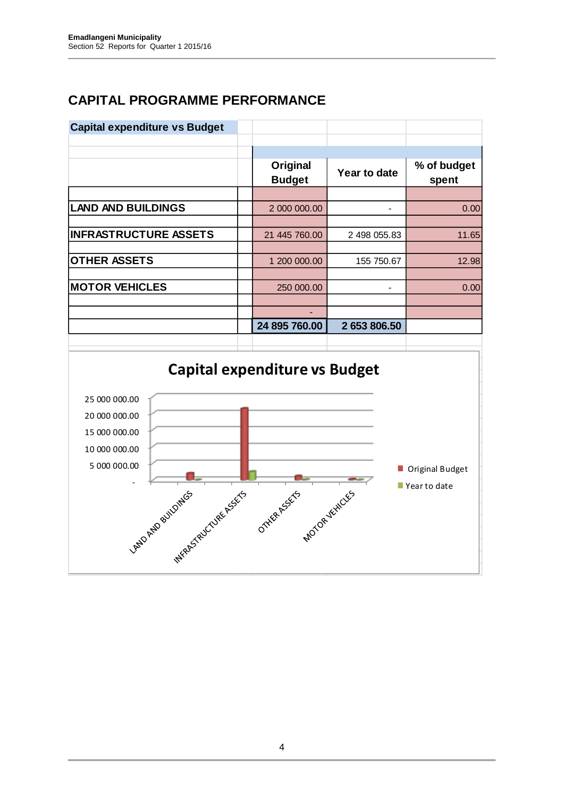## **CAPITAL PROGRAMME PERFORMANCE**

| <b>Capital expenditure vs Budget</b> |                           |              |                      |
|--------------------------------------|---------------------------|--------------|----------------------|
|                                      |                           |              |                      |
|                                      | Original<br><b>Budget</b> | Year to date | % of budget<br>spent |
|                                      |                           |              |                      |
| <b>LAND AND BUILDINGS</b>            | 2 000 000.00              |              | 0.00                 |
|                                      |                           |              |                      |
| <b>INFRASTRUCTURE ASSETS</b>         | 21 445 760.00             | 2 498 055.83 | 11.65                |
|                                      |                           |              |                      |
| <b>OTHER ASSETS</b>                  | 1 200 000.00              | 155 750.67   | 12.98                |
|                                      |                           |              |                      |
| <b>MOTOR VEHICLES</b>                | 250 000.00                |              | 0.00                 |
|                                      |                           |              |                      |
|                                      |                           |              |                      |
|                                      | 24 895 760.00             | 2 653 806.50 |                      |
|                                      |                           |              |                      |